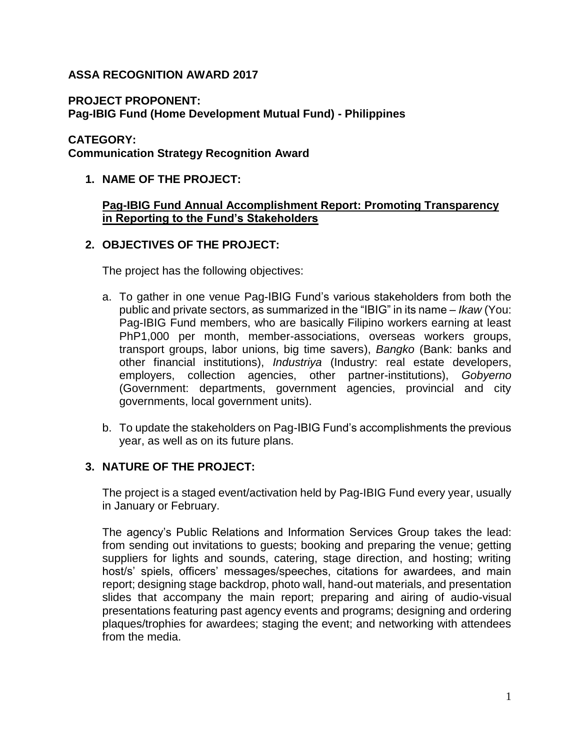# **ASSA RECOGNITION AWARD 2017**

**PROJECT PROPONENT:**

**Pag-IBIG Fund (Home Development Mutual Fund) - Philippines**

### **CATEGORY:**

**Communication Strategy Recognition Award**

# **1. NAME OF THE PROJECT:**

### **Pag-IBIG Fund Annual Accomplishment Report: Promoting Transparency in Reporting to the Fund's Stakeholders**

# **2. OBJECTIVES OF THE PROJECT:**

The project has the following objectives:

- a. To gather in one venue Pag-IBIG Fund's various stakeholders from both the public and private sectors, as summarized in the "IBIG" in its name – *Ikaw* (You: Pag-IBIG Fund members, who are basically Filipino workers earning at least PhP1,000 per month, member-associations, overseas workers groups, transport groups, labor unions, big time savers), *Bangko* (Bank: banks and other financial institutions), *Industriya* (Industry: real estate developers, employers, collection agencies, other partner-institutions), *Gobyerno* (Government: departments, government agencies, provincial and city governments, local government units).
- b. To update the stakeholders on Pag-IBIG Fund's accomplishments the previous year, as well as on its future plans.

### **3. NATURE OF THE PROJECT:**

The project is a staged event/activation held by Pag-IBIG Fund every year, usually in January or February.

The agency's Public Relations and Information Services Group takes the lead: from sending out invitations to guests; booking and preparing the venue; getting suppliers for lights and sounds, catering, stage direction, and hosting; writing host/s' spiels, officers' messages/speeches, citations for awardees, and main report; designing stage backdrop, photo wall, hand-out materials, and presentation slides that accompany the main report; preparing and airing of audio-visual presentations featuring past agency events and programs; designing and ordering plaques/trophies for awardees; staging the event; and networking with attendees from the media.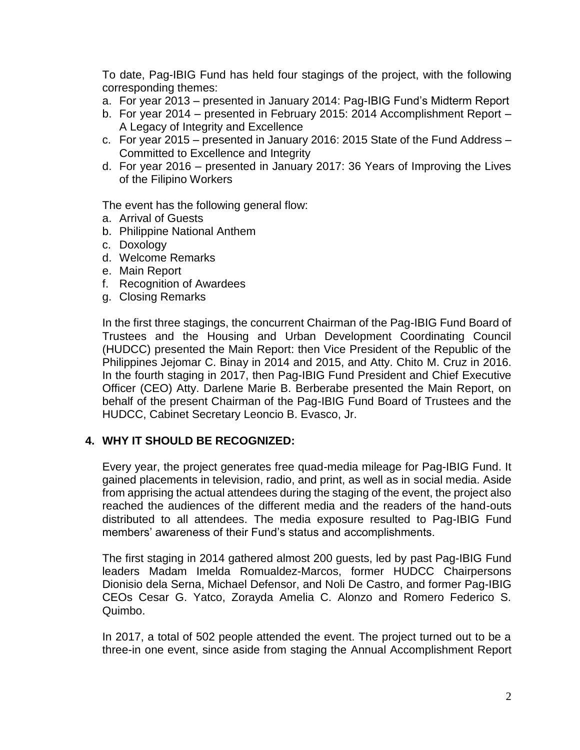To date, Pag-IBIG Fund has held four stagings of the project, with the following corresponding themes:

- a. For year 2013 presented in January 2014: Pag-IBIG Fund's Midterm Report
- b. For year 2014 presented in February 2015: 2014 Accomplishment Report A Legacy of Integrity and Excellence
- c. For year 2015 presented in January 2016: 2015 State of the Fund Address Committed to Excellence and Integrity
- d. For year 2016 presented in January 2017: 36 Years of Improving the Lives of the Filipino Workers

The event has the following general flow:

- a. Arrival of Guests
- b. Philippine National Anthem
- c. Doxology
- d. Welcome Remarks
- e. Main Report
- f. Recognition of Awardees
- g. Closing Remarks

In the first three stagings, the concurrent Chairman of the Pag-IBIG Fund Board of Trustees and the Housing and Urban Development Coordinating Council (HUDCC) presented the Main Report: then Vice President of the Republic of the Philippines Jejomar C. Binay in 2014 and 2015, and Atty. Chito M. Cruz in 2016. In the fourth staging in 2017, then Pag-IBIG Fund President and Chief Executive Officer (CEO) Atty. Darlene Marie B. Berberabe presented the Main Report, on behalf of the present Chairman of the Pag-IBIG Fund Board of Trustees and the HUDCC, Cabinet Secretary Leoncio B. Evasco, Jr.

### **4. WHY IT SHOULD BE RECOGNIZED:**

Every year, the project generates free quad-media mileage for Pag-IBIG Fund. It gained placements in television, radio, and print, as well as in social media. Aside from apprising the actual attendees during the staging of the event, the project also reached the audiences of the different media and the readers of the hand-outs distributed to all attendees. The media exposure resulted to Pag-IBIG Fund members' awareness of their Fund's status and accomplishments.

The first staging in 2014 gathered almost 200 guests, led by past Pag-IBIG Fund leaders Madam Imelda Romualdez-Marcos, former HUDCC Chairpersons Dionisio dela Serna, Michael Defensor, and Noli De Castro, and former Pag-IBIG CEOs Cesar G. Yatco, Zorayda Amelia C. Alonzo and Romero Federico S. Quimbo.

In 2017, a total of 502 people attended the event. The project turned out to be a three-in one event, since aside from staging the Annual Accomplishment Report